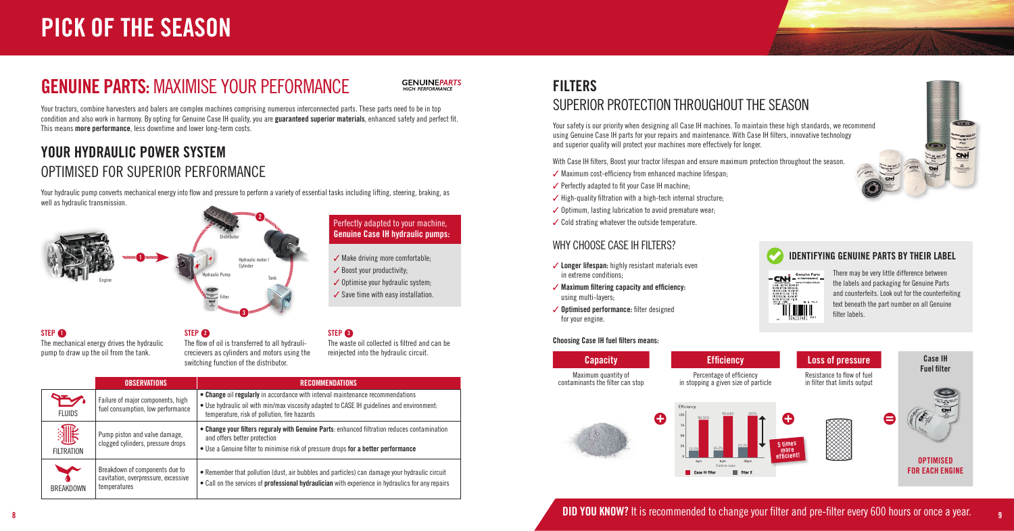



## GENUINE PARTS: MAXIMISE YOUR PEFORMANCE



Your tractors, combine harvesters and balers are complex machines comprising numerous interconnected parts. These parts need to be in top condition and also work in harmony. By opting for Genuine Case IH quality, you are guaranteed superior materials, enhanced safety and perfect fit. This means more performance, less downtime and lower long-term costs.

## FILTERS SUPERIOR PROTECTION THROUGHOUT THE SEASON

Your safety is our priority when designing all Case IH machines. To maintain these high standards, we recommend using Genuine Case IH parts for your repairs and maintenance. With Case IH filters, innovative technology and superior quality will protect your machines more effectively for longer.

With Case IH filters, Boost your tractor lifespan and ensure maximum protection throughout the season.

- $\checkmark$  Maximum cost-efficiency from enhanced machine lifespan;
- $\checkmark$  Perfectly adapted to fit your Case IH machine;
- $\checkmark$  High-quality filtration with a high-tech internal structure;
- $\checkmark$  Optimum, lasting lubrication to avoid premature wear;
- $\checkmark$  Cold strating whatever the outside temperature.

## WHY CHOOSE CASE IH FILTERS?

## YOUR HYDRAULIC POWER SYSTEM OPTIMISED FOR SUPERIOR PERFORMANCE

Your hydraulic pump converts mechanical energy into flow and pressure to perform a variety of essential tasks including lifting, steering, braking, as well as hydraulic transmission.

The mechanical energy drives the hydraulic pump to draw up the oil from the tank.

### STEP <sup>2</sup>

- $\checkmark$  Longer lifespan: highly resistant materials even in extreme conditions;
- $\checkmark$  Maximum filtering capacity and efficiency: using multi-layers;
- $\checkmark$  Optimised performance: filter designed for your engine.

The flow of oil is transferred to all hydraulicrecievers as cylinders and motors using the switching function of the distributor.

The waste oil collected is filtred and can be reinjected into the hydraulic circuit.



#### **STEP 1**

Perfectly adapted to your machine, Genuine Case IH hydraulic pumps:

- $\checkmark$  Make driving more comfortable;
- $\checkmark$  Boost your productivity;
- $\checkmark$  Optimise your hydraulic system;
- $\checkmark$  Save time with easy installation.

#### STEP<sup><sup>3</sup></sup>

# PICK OF THE SEASON

|                               | <b>OBSERVATIONS</b>                                                                   | <b>RECOMMENDATIONS</b>                                                                                                                                                                                                      |
|-------------------------------|---------------------------------------------------------------------------------------|-----------------------------------------------------------------------------------------------------------------------------------------------------------------------------------------------------------------------------|
| $\mathbf{r}$<br><b>FLUIDS</b> | Failure of major components, high<br>fuel consumption, low performance                | • Change oil regularly in accordance with interval maintenance recommendations<br>. Use hydraulic oil with min/max viscosity adapted to CASE IH guidelines and environment:<br>temperature, risk of pollution, fire hazards |
| 灉<br><b>FILTRATION</b>        | Pump piston and valve damage,<br>clogged cylinders, pressure drops                    | • Change your filters reguraly with Genuine Parts: enhanced filtration reduces contamination<br>and offers better protection<br>• Use a Genuine filter to minimise risk of pressure drops for a better performance          |
| <b>V</b><br><b>BREAKDOWN</b>  | Breakdown of components due to<br>cavitation, overpressure, excessive<br>temperatures | • Remember that pollution (dust, air bubbles and particles) can damage your hydraulic circuit<br>• Call on the services of professional hydraulician with experience in hydraulics for any repairs                          |

#### Choosing Case IH fuel filters means:

contaminants the filter can stop





## **DID YOU KNOW?** It is recommended to change your filter and pre-filter every 600 hours or once a year.

There may be very little difference between the labels and packaging for Genuine Parts and counterfeits. Look out for the counterfeiting text beneath the part number on all Genuine filter labels.

### IDENTIFYING GENUINE PARTS BY THEIR LABEL